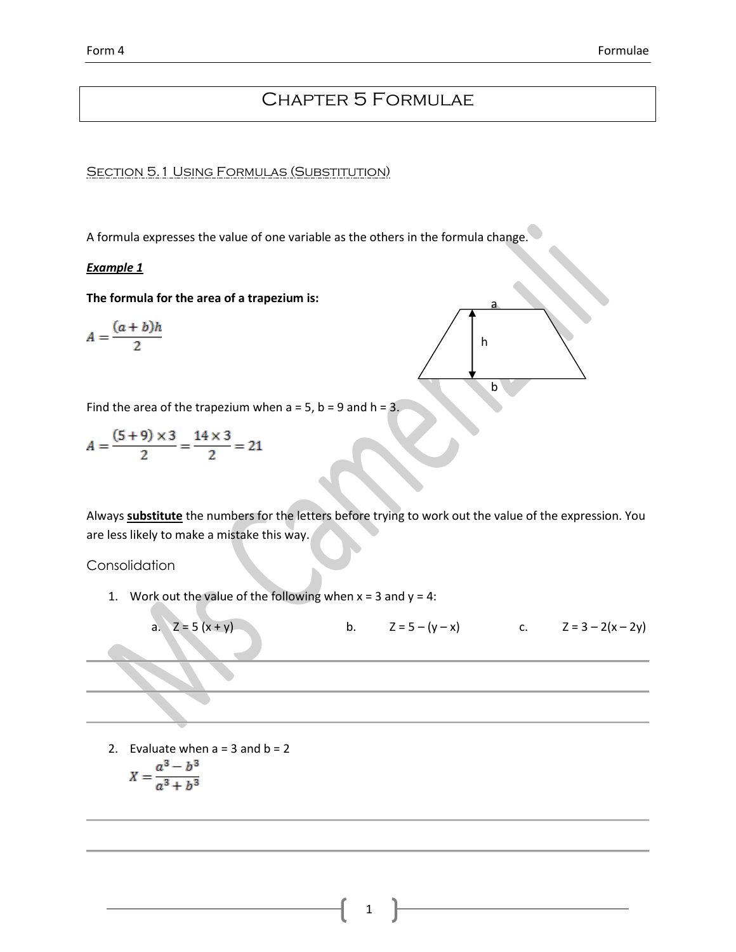# Chapter 5 Formulae

a

h

b

**SECTION 5.1 USING FORMULAS (SUBSTITUTION)** 

A formula expresses the value of one variable as the others in the formula change.

## *Example 1*

**The formula for the area of a trapezium is:**

$$
A=\frac{(a+b)h}{2}
$$

Find the area of the trapezium when  $a = 5$ ,  $b = 9$  and  $h = 3$ .

$$
A = \frac{(5+9) \times 3}{2} = \frac{14 \times 3}{2} = 21
$$

Always **substitute** the numbers for the letters before trying to work out the value of the expression. You are less likely to make a mistake this way.

## **Consolidation**

1. Work out the value of the following when  $x = 3$  and  $y = 4$ :



2. Evaluate when  $a = 3$  and  $b = 2$ 

$$
X = \frac{a^3 - b^3}{a^3 + b^3}
$$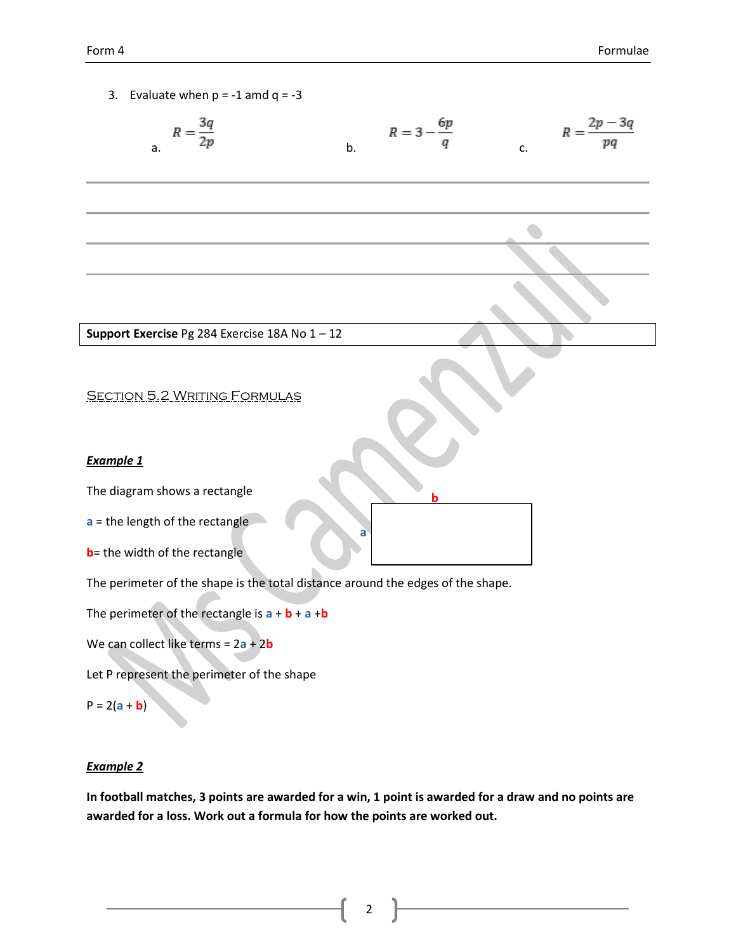3. Evaluate when  $p = -1$  amd  $q = -3$ 

$$
R = \frac{3q}{2p}
$$
 
$$
R = 3 - \frac{6p}{q}
$$
 
$$
R = \frac{2p - 3q}{pq}
$$

**Support Exercise** Pg 284 Exercise 18A No 1 – 12

**SECTION 5.2 WRITING FORMULAS** 

#### *Example 1*

The diagram shows a rectangle

**a** = the length of the rectangle

**b**= the width of the rectangle

The perimeter of the shape is the total distance around the edges of the shape.

The perimeter of the rectangle is  $a + b + a + b$ 

We can collect like terms = 2**a** + 2**b**

Let P represent the perimeter of the shape

```
P = 2(a + b)
```
## *Example 2*

**In football matches, 3 points are awarded for a win, 1 point is awarded for a draw and no points are awarded for a loss. Work out a formula for how the points are worked out.**

**a**

**b**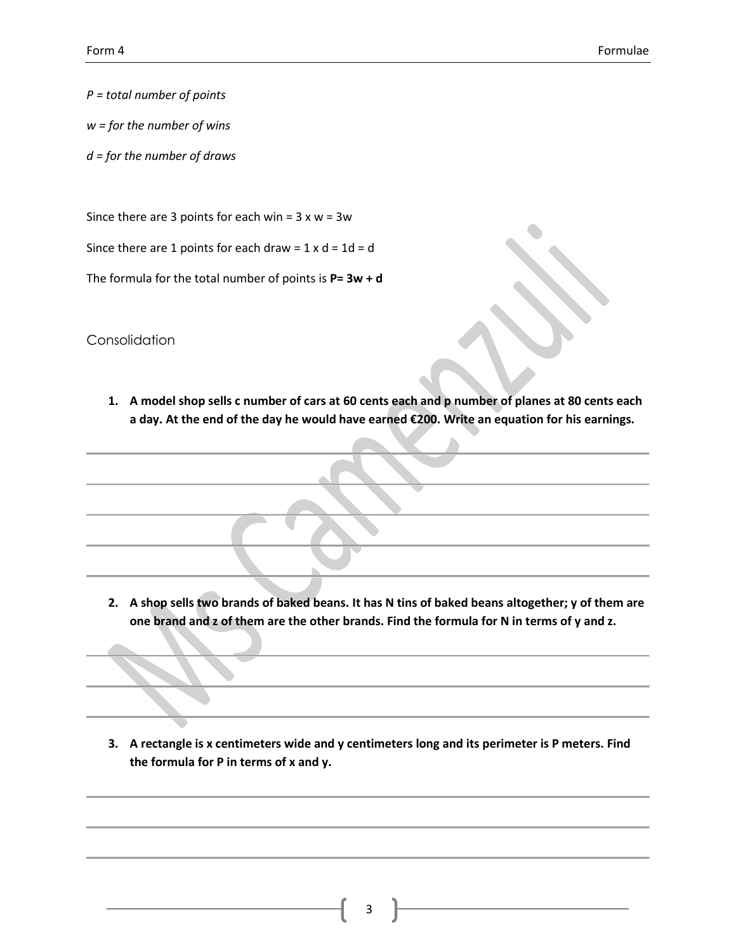*P = total number of points*

- *w = for the number of wins*
- *d = for the number of draws*

Since there are 3 points for each win =  $3 \times w = 3w$ 

Since there are 1 points for each draw =  $1 \times d = 1d = d$ 

The formula for the total number of points is **P= 3w + d**

Consolidation

**1. A model shop sells c number of cars at 60 cents each and p number of planes at 80 cents each a day. At the end of the day he would have earned €200. Write an equation for his earnings.**

**2. A shop sells two brands of baked beans. It has N tins of baked beans altogether; y of them are one brand and z of them are the other brands. Find the formula for N in terms of y and z.**

**3. A rectangle is x centimeters wide and y centimeters long and its perimeter is P meters. Find the formula for P in terms of x and y.**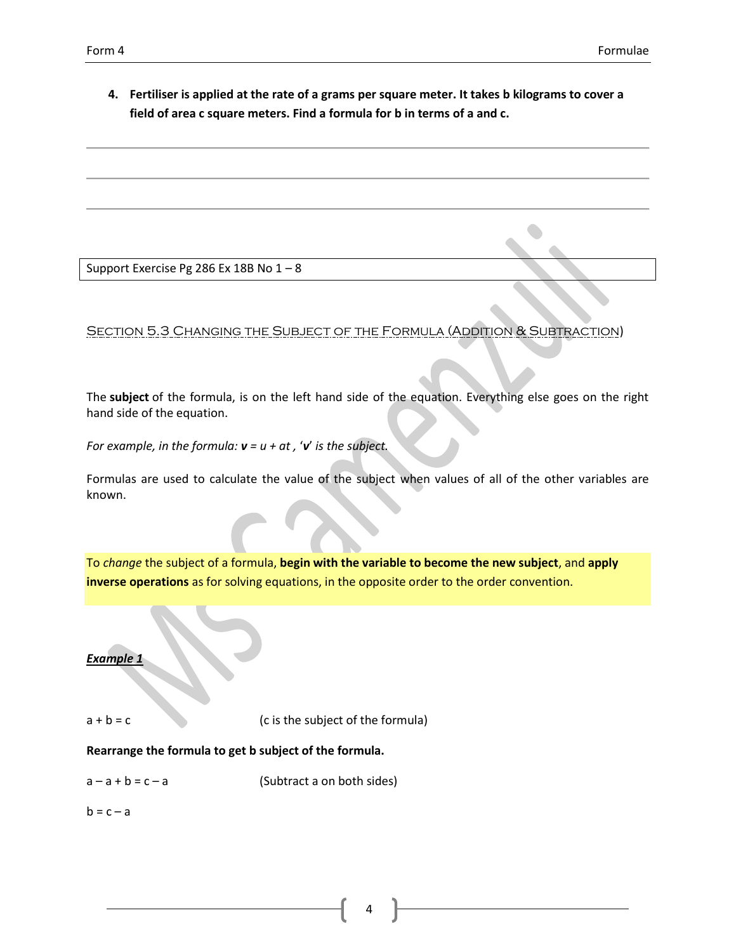**4. Fertiliser is applied at the rate of a grams per square meter. It takes b kilograms to cover a field of area c square meters. Find a formula for b in terms of a and c.**

Support Exercise Pg 286 Ex 18B No 1 – 8

Section 5.3 Changing the Subject of the Formula (Addition & Subtraction)

The **subject** of the formula, is on the left hand side of the equation. Everything else goes on the right hand side of the equation.

*For example, in the formula: v = u + at ,* '*v*' *is the subject.*

Formulas are used to calculate the value of the subject when values of all of the other variables are known.

To *change* the subject of a formula, **begin with the variable to become the new subject**, and **apply inverse operations** as for solving equations, in the opposite order to the order convention.

#### **Example**

 $a + b = c$  (c is the subject of the formula)

**Rearrange the formula to get b subject of the formula.**

 $a - a + b = c - a$  (Subtract a on both sides)

 $b = c - a$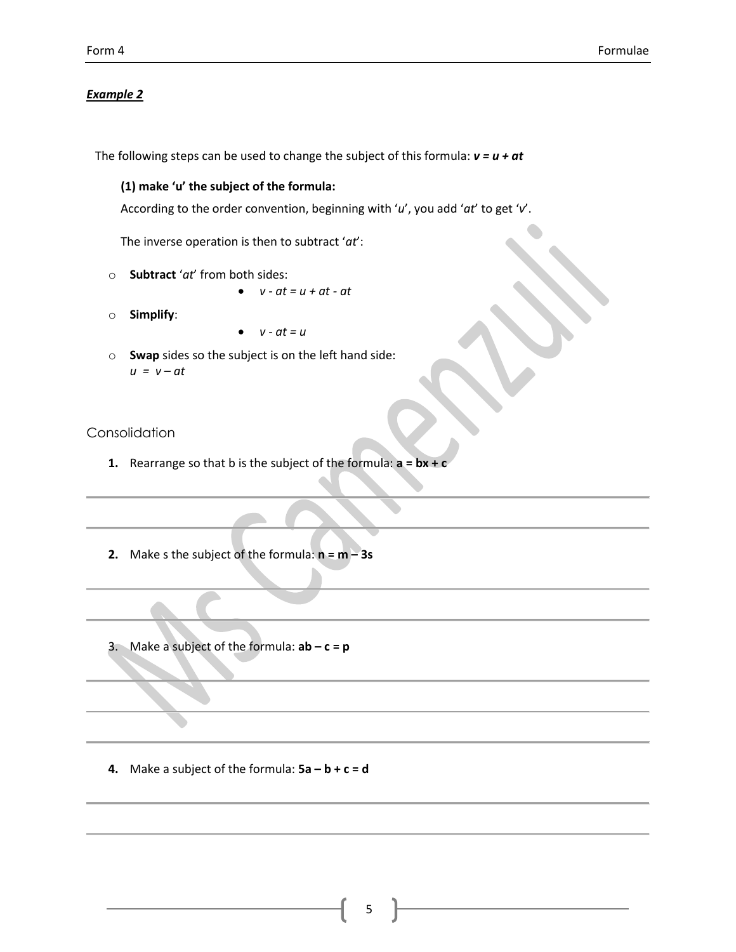#### *Example 2*

The following steps can be used to change the subject of this formula: *v = u + at*

#### **(1) make 'u' the subject of the formula:**

According to the order convention, beginning with '*u*', you add '*at*' to get '*v*'.

The inverse operation is then to subtract '*at*':

- o **Subtract** '*at*' from both sides:
	- $v at = u + at at$
- o **Simplify**:
- $v at = u$
- o **Swap** sides so the subject is on the left hand side: *u = v – at*

## Consolidation

- **1.** Rearrange so that b is the subject of the formula: **a = bx + c**
- **2.** Make s the subject of the formula:  $n = m 3s$
- 3. Make a subject of the formula: **ab – c = p**

**4.** Make a subject of the formula:  $5a - b + c = d$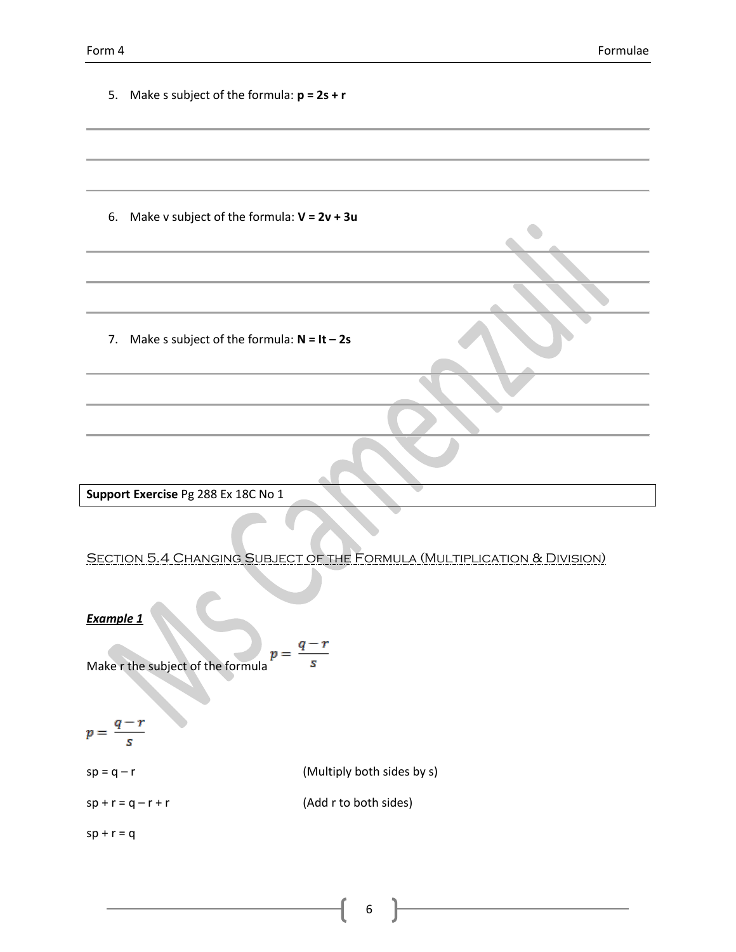| 5. Make s subject of the formula: $p = 2s + r$                                     |                            |
|------------------------------------------------------------------------------------|----------------------------|
|                                                                                    |                            |
| Make v subject of the formula: $V = 2v + 3u$<br>6.                                 |                            |
|                                                                                    |                            |
|                                                                                    |                            |
| Make s subject of the formula: $N = It - 2s$<br>7.                                 |                            |
|                                                                                    |                            |
|                                                                                    |                            |
|                                                                                    |                            |
| Support Exercise Pg 288 Ex 18C No 1                                                |                            |
| <b>SECTION 5.4 CHANGING SUBJECT OF THE FORMULA (MULTIPLICATION &amp; DIVISION)</b> |                            |
| Example 1                                                                          |                            |
| p:<br>Make r the subject of the formula                                            |                            |
| $\overline{s}$                                                                     |                            |
| $sp = q - r$                                                                       | (Multiply both sides by s) |
| $sp + r = q - r + r$                                                               | (Add r to both sides)      |
| $sp + r = q$                                                                       |                            |

ſ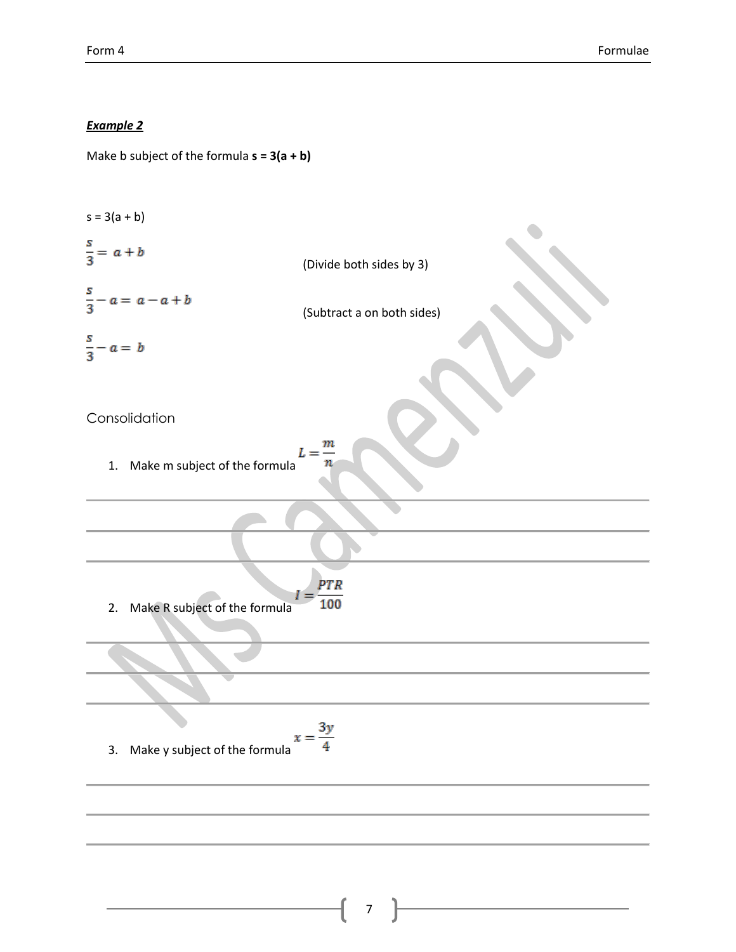# *Example 2*

Make b subject of the formula **s = 3(a + b)**

 $s = 3(a + b)$  $\frac{s}{3} = a + b$ (Divide both sides by 3)  $\frac{s}{3}-a=\,a-a+b$ (Subtract a on both sides)  $\frac{s}{3} - a = b$ Consolidation  $\it m$  $L = \frac{1}{2}$ 1. Make m subject of the formula n **PTR** 100 2. Make R subject of the formula 3. Make y subject of the formula  $x = \frac{3y}{4}$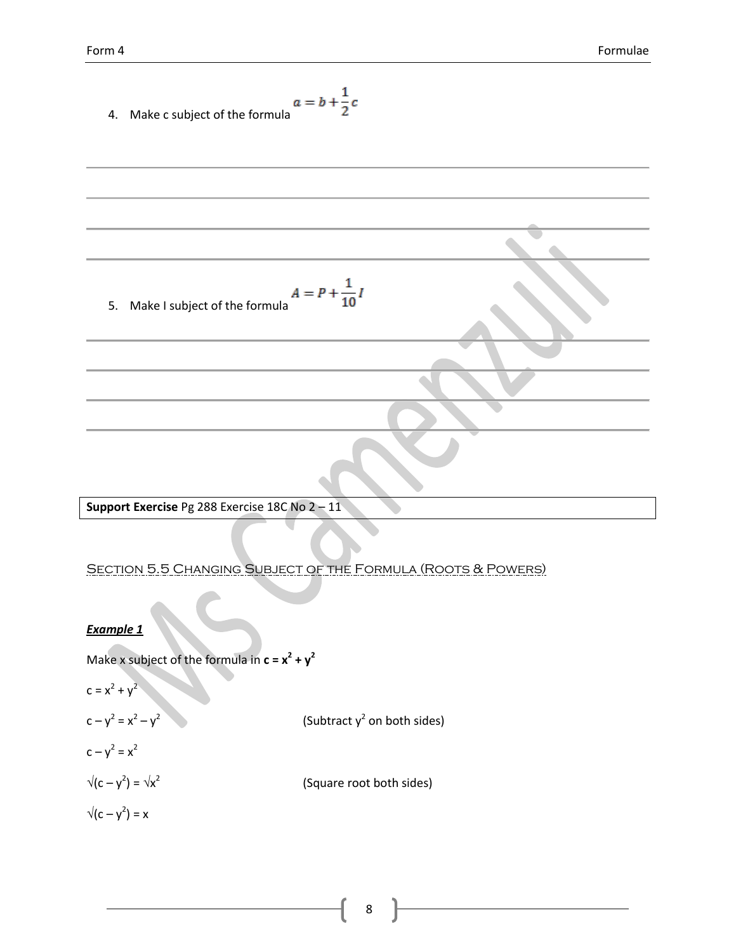4. Make c subject of the formula 5. Make I subject of the formula **Support Exercise** Pg 288 Exercise 18C No 2 – 11 Section 5.5 Changing Subject of the Formula (Roots & Powers) *Example 1*  Make x subject of the formula in **c = x<sup>2</sup> + y<sup>2</sup>** c = x<sup>2</sup> + y<sup>2</sup> c – y 2 = x<sup>2</sup> – y 2 (Subtract y<sup>2</sup> on both sides) c – y 2 = x<sup>2</sup> (c – y 2 ) = x 2 (Square root both sides) (c – y 2 ) = x

ſ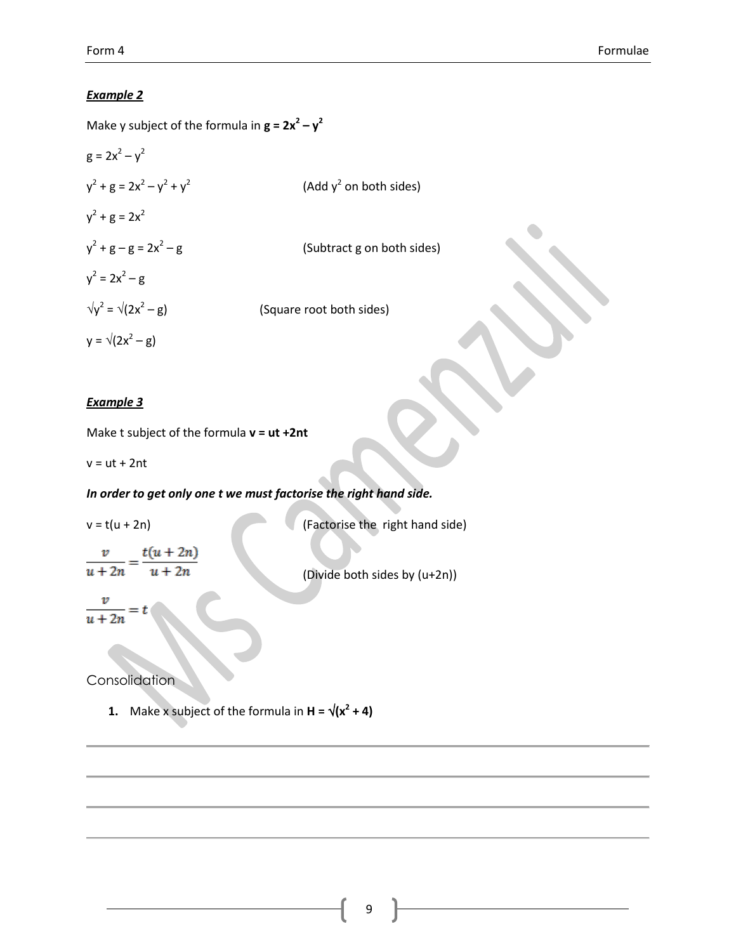## *Example 2*

Make y subject of the formula in  $\mathbf{g} = 2\mathbf{x}^2 - \mathbf{y}^2$ 

$$
g = 2x^{2} - y^{2}
$$
  
\n
$$
y^{2} + g = 2x^{2} - y^{2} + y^{2}
$$
  
\n
$$
y^{2} + g = 2x^{2}
$$
  
\n
$$
y^{2} + g - g = 2x^{2} - g
$$
  
\n
$$
y^{2} = 2x^{2} - g
$$
  
\n
$$
y^{2} = \sqrt{2x^{2} - g}
$$
  
\n(Subtract g on b)  
\n
$$
y = \sqrt{2x^{2} - g}
$$
  
\n(Square root both sides)  
\n
$$
y = \sqrt{2x^{2} - g}
$$

#### *Example 3*

Make t subject of the formula **v = ut +2nt**

 $v = ut + 2nt$ 

# *In order to get only one t we must factorise the right hand side.*

 $v = t(u + 2n)$  (Factorise the right hand side)  $\frac{v}{u+2n} = \frac{t(u+2n)}{u+2n}$ (Divide both sides by (u+2n))

 $\frac{v}{u+2n} =$ 

**Consolidation** 

**1.** Make x subject of the formula in  $H = \sqrt{x^2 + 4}$ 

(Add  $y^2$  on both sides)

(Subtract g on both sides)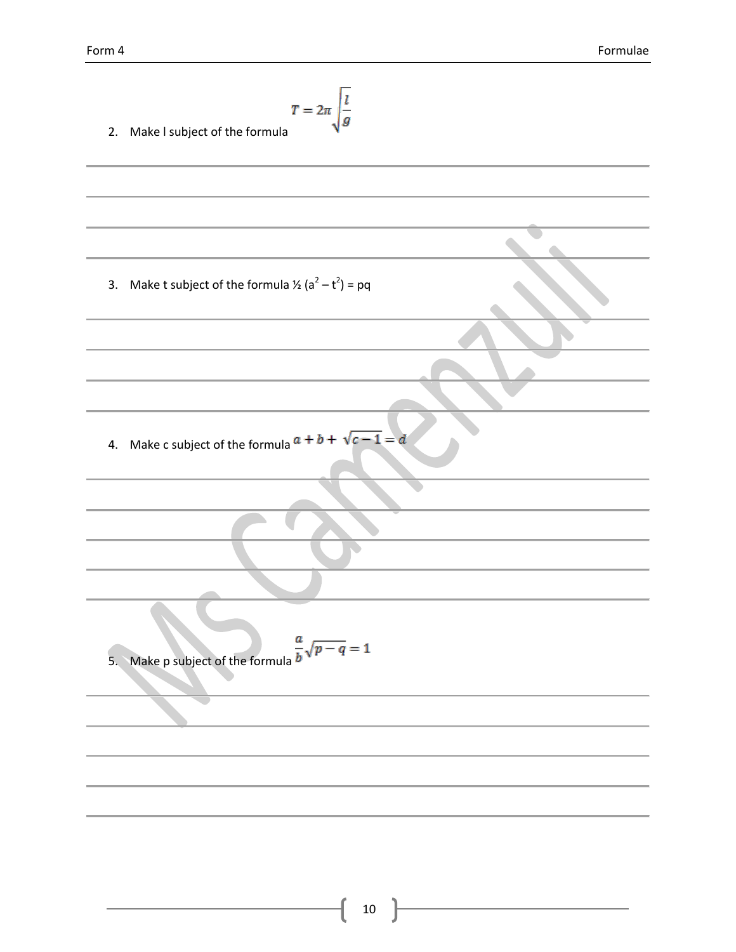2. Make I subject of the formula  
\n3. Make t subject of the formula 
$$
\frac{r}{a^2 - t^2} = pq
$$
  
\n4. Make c subject of the formula  $a + b + \sqrt{c - 1} = a$   
\n5. Make p subject of the formula  $\frac{a}{b}\sqrt{p - q} = 1$ 

ſ